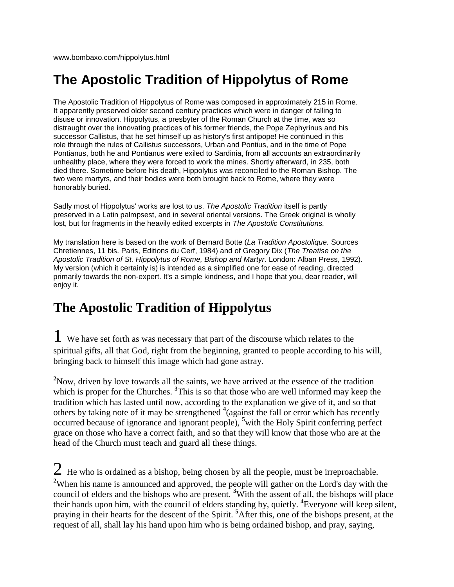## **The Apostolic Tradition of Hippolytus of Rome**

The Apostolic Tradition of Hippolytus of Rome was composed in approximately 215 in Rome. It apparently preserved older second century practices which were in danger of falling to disuse or innovation. Hippolytus, a presbyter of the Roman Church at the time, was so distraught over the innovating practices of his former friends, the Pope Zephyrinus and his successor Callistus, that he set himself up as history's first antipope! He continued in this role through the rules of Callistus successors, Urban and Pontius, and in the time of Pope Pontianus, both he and Pontianus were exiled to Sardinia, from all accounts an extraordinarily unhealthy place, where they were forced to work the mines. Shortly afterward, in 235, both died there. Sometime before his death, Hippolytus was reconciled to the Roman Bishop. The two were martyrs, and their bodies were both brought back to Rome, where they were honorably buried.

Sadly most of Hippolytus' works are lost to us. *The Apostolic Tradition* itself is partly preserved in a Latin palmpsest, and in several oriental versions. The Greek original is wholly lost, but for fragments in the heavily edited excerpts in *The Apostolic Constitutions.*

My translation here is based on the work of Bernard Botte (*La Tradition Apostolique.* Sources Chretiennes, 11 bis. Paris, Editions du Cerf, 1984) and of Gregory Dix (*The Treatise on the Apostolic Tradition of St. Hippolytus of Rome, Bishop and Martyr*. London: Alban Press, 1992). My version (which it certainly is) is intended as a simplified one for ease of reading, directed primarily towards the non-expert. It's a simple kindness, and I hope that you, dear reader, will enjoy it.

## **The Apostolic Tradition of Hippolytus**

1 We have set forth as was necessary that part of the discourse which relates to the spiritual gifts, all that God, right from the beginning, granted to people according to his will, bringing back to himself this image which had gone astray.

<sup>2</sup>Now, driven by love towards all the saints, we have arrived at the essence of the tradition which is proper for the Churches. <sup>3</sup>This is so that those who are well informed may keep the tradition which has lasted until now, according to the explanation we give of it, and so that others by taking note of it may be strengthened **<sup>4</sup>** (against the fall or error which has recently occurred because of ignorance and ignorant people), **<sup>5</sup>**with the Holy Spirit conferring perfect grace on those who have a correct faith, and so that they will know that those who are at the head of the Church must teach and guard all these things.

 $2$  He who is ordained as a bishop, being chosen by all the people, must be irreproachable. **<sup>2</sup>**When his name is announced and approved, the people will gather on the Lord's day with the council of elders and the bishops who are present. **<sup>3</sup>**With the assent of all, the bishops will place their hands upon him, with the council of elders standing by, quietly. **<sup>4</sup>** Everyone will keep silent, praying in their hearts for the descent of the Spirit. **<sup>5</sup>**After this, one of the bishops present, at the request of all, shall lay his hand upon him who is being ordained bishop, and pray, saying,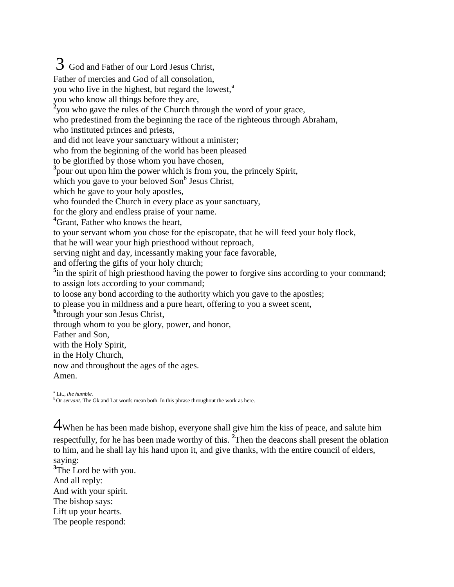## 3 God and Father of our Lord Jesus Christ, Father of mercies and God of all consolation, you who live in the highest, but regard the lowest,<sup>a</sup> you who know all things before they are, <sup>2</sup> you who gave the rules of the Church through the word of your grace, who predestined from the beginning the race of the righteous through Abraham, who instituted princes and priests, and did not leave your sanctuary without a minister; who from the beginning of the world has been pleased to be glorified by those whom you have chosen, <sup>3</sup> pour out upon him the power which is from you, the princely Spirit, which you gave to your beloved  $Son^b$  Jesus Christ, which he gave to your holy apostles, who founded the Church in every place as your sanctuary, for the glory and endless praise of your name. **<sup>4</sup>**Grant, Father who knows the heart, to your servant whom you chose for the episcopate, that he will feed your holy flock, that he will wear your high priesthood without reproach, serving night and day, incessantly making your face favorable, and offering the gifts of your holy church; <sup>5</sup>in the spirit of high priesthood having the power to forgive sins according to your command; to assign lots according to your command; to loose any bond according to the authority which you gave to the apostles; to please you in mildness and a pure heart, offering to you a sweet scent, **6** through your son Jesus Christ, through whom to you be glory, power, and honor, Father and Son, with the Holy Spirit, in the Holy Church, now and throughout the ages of the ages. Amen. a Lit., *the humble.*

<sup>b</sup>Or *servant*. The Gk and Lat words mean both. In this phrase throughout the work as here.

4When he has been made bishop, everyone shall give him the kiss of peace, and salute him respectfully, for he has been made worthy of this. **<sup>2</sup>** Then the deacons shall present the oblation to him, and he shall lay his hand upon it, and give thanks, with the entire council of elders, saying:

<sup>3</sup>The Lord be with you. And all reply: And with your spirit. The bishop says: Lift up your hearts. The people respond: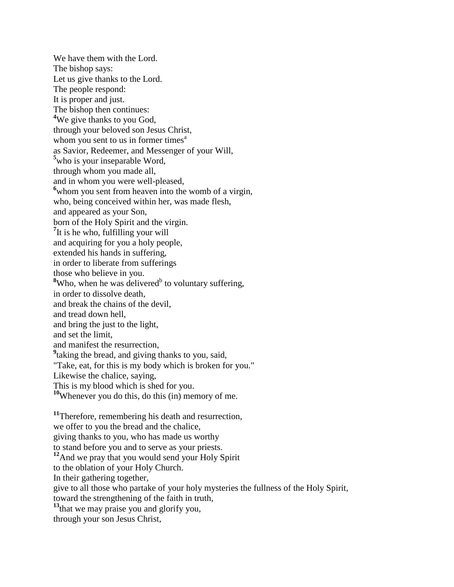We have them with the Lord. The bishop says: Let us give thanks to the Lord. The people respond: It is proper and just. The bishop then continues: <sup>4</sup>We give thanks to you God, through your beloved son Jesus Christ, whom you sent to us in former times<sup>a</sup> as Savior, Redeemer, and Messenger of your Will, **<sup>5</sup>**who is your inseparable Word, through whom you made all, and in whom you were well-pleased, **<sup>6</sup>**whom you sent from heaven into the womb of a virgin, who, being conceived within her, was made flesh, and appeared as your Son, born of the Holy Spirit and the virgin. <sup>7</sup>It is he who, fulfilling your will and acquiring for you a holy people, extended his hands in suffering, in order to liberate from sufferings those who believe in you. <sup>8</sup>Who, when he was delivered<sup>b</sup> to voluntary suffering, in order to dissolve death, and break the chains of the devil, and tread down hell, and bring the just to the light, and set the limit, and manifest the resurrection, <sup>9</sup> taking the bread, and giving thanks to you, said, "Take, eat, for this is my body which is broken for you." Likewise the chalice, saying, This is my blood which is shed for you. **<sup>10</sup>**Whenever you do this, do this (in) memory of me. <sup>11</sup>Therefore, remembering his death and resurrection, we offer to you the bread and the chalice, giving thanks to you, who has made us worthy to stand before you and to serve as your priests. **<sup>12</sup>**And we pray that you would send your Holy Spirit

to the oblation of your Holy Church.

In their gathering together,

give to all those who partake of your holy mysteries the fullness of the Holy Spirit, toward the strengthening of the faith in truth,

**<sup>13</sup>**that we may praise you and glorify you,

through your son Jesus Christ,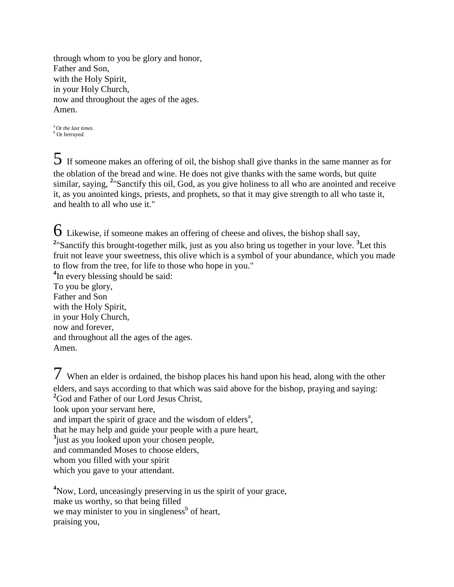through whom to you be glory and honor, Father and Son, with the Holy Spirit, in your Holy Church, now and throughout the ages of the ages. Amen.

<sup>a</sup>Or *the last times.* <sup>b</sup> Or *betrayed.*

 $5$  If someone makes an offering of oil, the bishop shall give thanks in the same manner as for the oblation of the bread and wine. He does not give thanks with the same words, but quite similar, saying, **<sup>2</sup>** "Sanctify this oil, God, as you give holiness to all who are anointed and receive it, as you anointed kings, priests, and prophets, so that it may give strength to all who taste it, and health to all who use it."

 $6$  Likewise, if someone makes an offering of cheese and olives, the bishop shall say, <sup>2</sup> Sanctify this brought-together milk, just as you also bring us together in your love. <sup>3</sup>Let this fruit not leave your sweetness, this olive which is a symbol of your abundance, which you made to flow from the tree, for life to those who hope in you." <sup>4</sup>In every blessing should be said: To you be glory, Father and Son with the Holy Spirit, in your Holy Church, now and forever,

and throughout all the ages of the ages.

7 When an elder is ordained, the bishop places his hand upon his head, along with the other elders, and says according to that which was said above for the bishop, praying and saying: <sup>2</sup>God and Father of our Lord Jesus Christ, look upon your servant here, and impart the spirit of grace and the wisdom of elders<sup>a</sup>, that he may help and guide your people with a pure heart, **3** just as you looked upon your chosen people, and commanded Moses to choose elders, whom you filled with your spirit which you gave to your attendant.

**<sup>4</sup>**Now, Lord, unceasingly preserving in us the spirit of your grace, make us worthy, so that being filled we may minister to you in singleness<sup>b</sup> of heart, praising you,

Amen.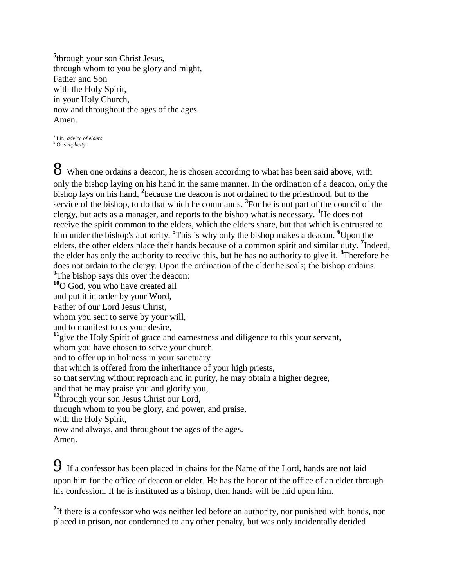**5** through your son Christ Jesus, through whom to you be glory and might, Father and Son with the Holy Spirit, in your Holy Church, now and throughout the ages of the ages. Amen.

a Lit., *advice of elders.* <sup>b</sup> Or *simplicity.*

8 When one ordains a deacon, he is chosen according to what has been said above, with only the bishop laying on his hand in the same manner. In the ordination of a deacon, only the bishop lays on his hand, **<sup>2</sup>** because the deacon is not ordained to the priesthood, but to the service of the bishop, to do that which he commands. <sup>3</sup> For he is not part of the council of the clergy, but acts as a manager, and reports to the bishop what is necessary. **<sup>4</sup>**He does not receive the spirit common to the elders, which the elders share, but that which is entrusted to him under the bishop's authority. **<sup>5</sup>** This is why only the bishop makes a deacon. **<sup>6</sup>**Upon the elders, the other elders place their hands because of a common spirit and similar duty. **<sup>7</sup>** Indeed, the elder has only the authority to receive this, but he has no authority to give it. **<sup>8</sup>** Therefore he does not ordain to the clergy. Upon the ordination of the elder he seals; the bishop ordains. <sup>9</sup>The bishop says this over the deacon:

**<sup>10</sup>**O God, you who have created all

and put it in order by your Word, Father of our Lord Jesus Christ,

whom you sent to serve by your will,

and to manifest to us your desire,

<sup>11</sup>give the Holy Spirit of grace and earnestness and diligence to this your servant,

whom you have chosen to serve your church

and to offer up in holiness in your sanctuary

that which is offered from the inheritance of your high priests,

so that serving without reproach and in purity, he may obtain a higher degree,

and that he may praise you and glorify you,

**<sup>12</sup>**through your son Jesus Christ our Lord,

through whom to you be glory, and power, and praise,

with the Holy Spirit,

now and always, and throughout the ages of the ages. Amen.

9 If a confessor has been placed in chains for the Name of the Lord, hands are not laid upon him for the office of deacon or elder. He has the honor of the office of an elder through his confession. If he is instituted as a bishop, then hands will be laid upon him.

<sup>2</sup>If there is a confessor who was neither led before an authority, nor punished with bonds, nor placed in prison, nor condemned to any other penalty, but was only incidentally derided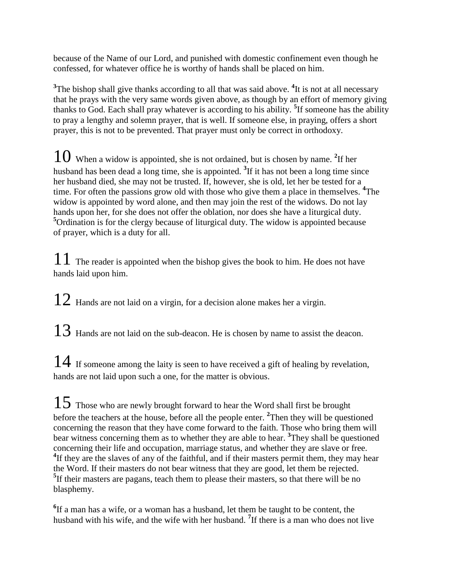because of the Name of our Lord, and punished with domestic confinement even though he confessed, for whatever office he is worthy of hands shall be placed on him.

<sup>3</sup>The bishop shall give thanks according to all that was said above. <sup>4</sup>It is not at all necessary that he prays with the very same words given above, as though by an effort of memory giving thanks to God. Each shall pray whatever is according to his ability. **<sup>5</sup>** If someone has the ability to pray a lengthy and solemn prayer, that is well. If someone else, in praying, offers a short prayer, this is not to be prevented. That prayer must only be correct in orthodoxy.

10 When a widow is appointed, she is not ordained, but is chosen by name. **<sup>2</sup>** If her husband has been dead a long time, she is appointed. <sup>3</sup>If it has not been a long time since her husband died, she may not be trusted. If, however, she is old, let her be tested for a time. For often the passions grow old with those who give them a place in themselves. **<sup>4</sup>** The widow is appointed by word alone, and then may join the rest of the widows. Do not lay hands upon her, for she does not offer the oblation, nor does she have a liturgical duty. **<sup>5</sup>**Ordination is for the clergy because of liturgical duty. The widow is appointed because of prayer, which is a duty for all.

 $11$  The reader is appointed when the bishop gives the book to him. He does not have hands laid upon him.

 $12$  Hands are not laid on a virgin, for a decision alone makes her a virgin.

 $13$  Hands are not laid on the sub-deacon. He is chosen by name to assist the deacon.

 $14$  If someone among the laity is seen to have received a gift of healing by revelation, hands are not laid upon such a one, for the matter is obvious.

 $15$  Those who are newly brought forward to hear the Word shall first be brought before the teachers at the house, before all the people enter. **<sup>2</sup>** Then they will be questioned concerning the reason that they have come forward to the faith. Those who bring them will bear witness concerning them as to whether they are able to hear. **<sup>3</sup>** They shall be questioned concerning their life and occupation, marriage status, and whether they are slave or free. <sup>4</sup>If they are the slaves of any of the faithful, and if their masters permit them, they may hear the Word. If their masters do not bear witness that they are good, let them be rejected. <sup>5</sup>If their masters are pagans, teach them to please their masters, so that there will be no blasphemy.

**6** If a man has a wife, or a woman has a husband, let them be taught to be content, the husband with his wife, and the wife with her husband. **<sup>7</sup>** If there is a man who does not live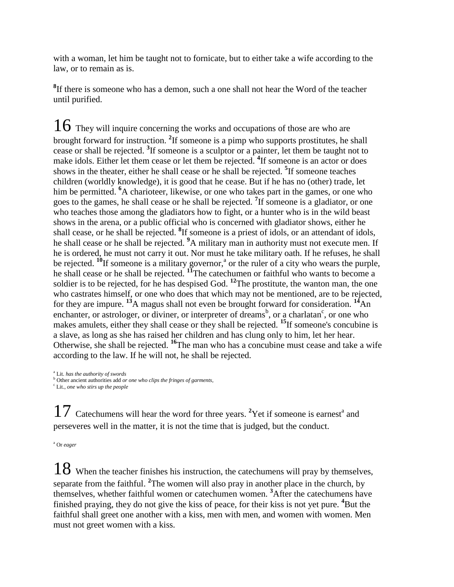with a woman, let him be taught not to fornicate, but to either take a wife according to the law, or to remain as is.

**8** If there is someone who has a demon, such a one shall not hear the Word of the teacher until purified.

 $16$  They will inquire concerning the works and occupations of those are who are brought forward for instruction. **<sup>2</sup>** If someone is a pimp who supports prostitutes, he shall cease or shall be rejected. **<sup>3</sup>** If someone is a sculptor or a painter, let them be taught not to make idols. Either let them cease or let them be rejected. <sup>4</sup>If someone is an actor or does shows in the theater, either he shall cease or he shall be rejected. **<sup>5</sup>** If someone teaches children (worldly knowledge), it is good that he cease. But if he has no (other) trade, let him be permitted. <sup>6</sup>A charioteer, likewise, or one who takes part in the games, or one who goes to the games, he shall cease or he shall be rejected. **<sup>7</sup>** If someone is a gladiator, or one who teaches those among the gladiators how to fight, or a hunter who is in the wild beast shows in the arena, or a public official who is concerned with gladiator shows, either he shall cease, or he shall be rejected. **<sup>8</sup>** If someone is a priest of idols, or an attendant of idols, he shall cease or he shall be rejected. **<sup>9</sup>**A military man in authority must not execute men. If he is ordered, he must not carry it out. Nor must he take military oath. If he refuses, he shall be rejected. <sup>10</sup>If someone is a military governor,<sup>a</sup> or the ruler of a city who wears the purple, he shall cease or he shall be rejected. **<sup>11</sup>**The catechumen or faithful who wants to become a soldier is to be rejected, for he has despised God. **<sup>12</sup>**The prostitute, the wanton man, the one who castrates himself, or one who does that which may not be mentioned, are to be rejected, for they are impure. **<sup>13</sup>**A magus shall not even be brought forward for consideration. **<sup>14</sup>**An enchanter, or astrologer, or diviner, or interpreter of dreams<sup>b</sup>, or a charlatan<sup>c</sup>, or one who makes amulets, either they shall cease or they shall be rejected. **<sup>15</sup>**If someone's concubine is a slave, as long as she has raised her children and has clung only to him, let her hear. Otherwise, she shall be rejected. **<sup>16</sup>**The man who has a concubine must cease and take a wife according to the law. If he will not, he shall be rejected.

17 Catechumens will hear the word for three years. <sup>2</sup>Yet if someone is earnest<sup>a</sup> and perseveres well in the matter, it is not the time that is judged, but the conduct.

<sup>a</sup> Or *eager*

 $18$  When the teacher finishes his instruction, the catechumens will pray by themselves, separate from the faithful. **<sup>2</sup>** The women will also pray in another place in the church, by themselves, whether faithful women or catechumen women. **<sup>3</sup>**After the catechumens have finished praying, they do not give the kiss of peace, for their kiss is not yet pure. **<sup>4</sup>**But the faithful shall greet one another with a kiss, men with men, and women with women. Men must not greet women with a kiss.

a Lit. *has the authority of swords*

<sup>b</sup> Other ancient authorities add *or one who clips the fringes of garments,*

c Lit., *one who stirs up the people*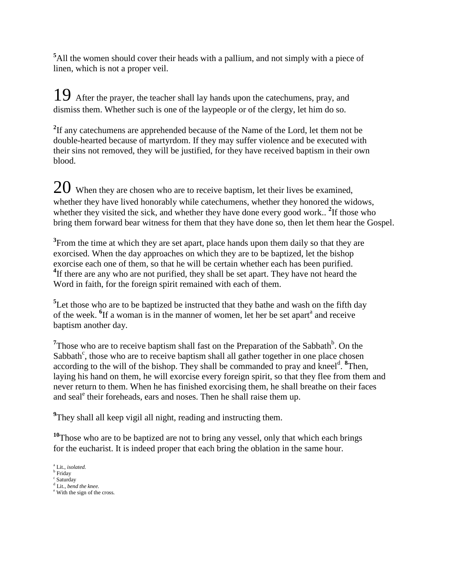**<sup>5</sup>**All the women should cover their heads with a pallium, and not simply with a piece of linen, which is not a proper veil.

19 After the prayer, the teacher shall lay hands upon the catechumens, pray, and dismiss them. Whether such is one of the laypeople or of the clergy, let him do so.

**2** If any catechumens are apprehended because of the Name of the Lord, let them not be double-hearted because of martyrdom. If they may suffer violence and be executed with their sins not removed, they will be justified, for they have received baptism in their own blood.

 $20$  When they are chosen who are to receive baptism, let their lives be examined, whether they have lived honorably while catechumens, whether they honored the widows, whether they visited the sick, and whether they have done every good work..<sup>2</sup>If those who bring them forward bear witness for them that they have done so, then let them hear the Gospel.

**3** From the time at which they are set apart, place hands upon them daily so that they are exorcised. When the day approaches on which they are to be baptized, let the bishop exorcise each one of them, so that he will be certain whether each has been purified. <sup>4</sup>If there are any who are not purified, they shall be set apart. They have not heard the Word in faith, for the foreign spirit remained with each of them.

<sup>5</sup>Let those who are to be baptized be instructed that they bathe and wash on the fifth day of the week. <sup>6</sup>If a woman is in the manner of women, let her be set apart<sup>a</sup> and receive baptism another day.

<sup>7</sup>Those who are to receive baptism shall fast on the Preparation of the Sabbath<sup>b</sup>. On the Sabbath<sup>c</sup>, those who are to receive baptism shall all gather together in one place chosen according to the will of the bishop. They shall be commanded to pray and kneel<sup>d</sup>. <sup>8</sup>Then, laying his hand on them, he will exorcise every foreign spirit, so that they flee from them and never return to them. When he has finished exorcising them, he shall breathe on their faces and seal<sup>e</sup> their foreheads, ears and noses. Then he shall raise them up.

<sup>9</sup>They shall all keep vigil all night, reading and instructing them.

<sup>10</sup>Those who are to be baptized are not to bring any vessel, only that which each brings for the eucharist. It is indeed proper that each bring the oblation in the same hour.

a Lit., *isolated.*

**b** Friday

c Saturday d Lit., *bend the knee.*

<sup>&</sup>lt;sup>e</sup> With the sign of the cross.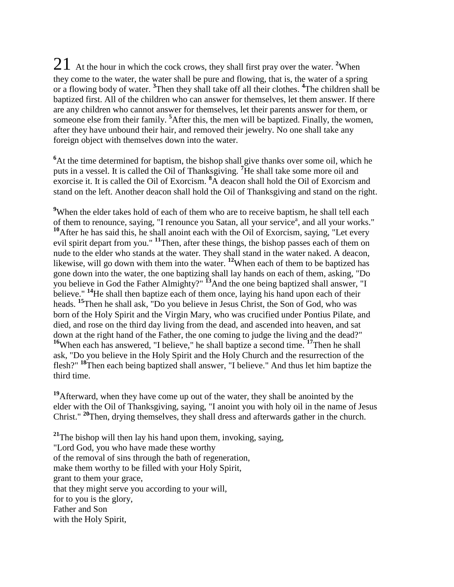21 At the hour in which the cock crows, they shall first pray over the water. **<sup>2</sup>**When they come to the water, the water shall be pure and flowing, that is, the water of a spring or a flowing body of water. **<sup>3</sup>** Then they shall take off all their clothes. **<sup>4</sup>** The children shall be baptized first. All of the children who can answer for themselves, let them answer. If there are any children who cannot answer for themselves, let their parents answer for them, or someone else from their family. **<sup>5</sup>**After this, the men will be baptized. Finally, the women, after they have unbound their hair, and removed their jewelry. No one shall take any foreign object with themselves down into the water.

<sup>6</sup>At the time determined for baptism, the bishop shall give thanks over some oil, which he puts in a vessel. It is called the Oil of Thanksgiving. **<sup>7</sup>**He shall take some more oil and exorcise it. It is called the Oil of Exorcism. **<sup>8</sup>**A deacon shall hold the Oil of Exorcism and stand on the left. Another deacon shall hold the Oil of Thanksgiving and stand on the right.

<sup>9</sup>When the elder takes hold of each of them who are to receive baptism, he shall tell each of them to renounce, saying, "I renounce you Satan, all your service<sup>a</sup>, and all your works." <sup>10</sup>After he has said this, he shall anoint each with the Oil of Exorcism, saying, "Let every evil spirit depart from you." **<sup>11</sup>**Then, after these things, the bishop passes each of them on nude to the elder who stands at the water. They shall stand in the water naked. A deacon, likewise, will go down with them into the water. **<sup>12</sup>**When each of them to be baptized has gone down into the water, the one baptizing shall lay hands on each of them, asking, "Do you believe in God the Father Almighty?" **<sup>13</sup>**And the one being baptized shall answer, "I believe." <sup>14</sup>He shall then baptize each of them once, laying his hand upon each of their heads. **<sup>15</sup>**Then he shall ask, "Do you believe in Jesus Christ, the Son of God, who was born of the Holy Spirit and the Virgin Mary, who was crucified under Pontius Pilate, and died, and rose on the third day living from the dead, and ascended into heaven, and sat down at the right hand of the Father, the one coming to judge the living and the dead?" <sup>16</sup>When each has answered, "I believe," he shall baptize a second time. <sup>17</sup>Then he shall ask, "Do you believe in the Holy Spirit and the Holy Church and the resurrection of the flesh?" **<sup>18</sup>**Then each being baptized shall answer, "I believe." And thus let him baptize the third time.

<sup>19</sup>Afterward, when they have come up out of the water, they shall be anointed by the elder with the Oil of Thanksgiving, saying, "I anoint you with holy oil in the name of Jesus Christ." **<sup>20</sup>**Then, drying themselves, they shall dress and afterwards gather in the church.

**<sup>21</sup>**The bishop will then lay his hand upon them, invoking, saying, "Lord God, you who have made these worthy of the removal of sins through the bath of regeneration, make them worthy to be filled with your Holy Spirit, grant to them your grace, that they might serve you according to your will, for to you is the glory, Father and Son with the Holy Spirit,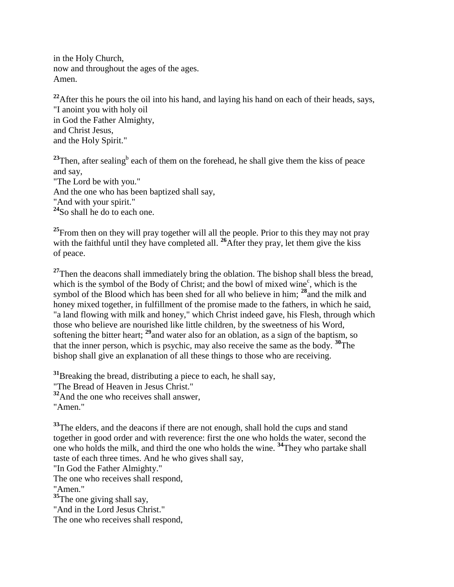in the Holy Church, now and throughout the ages of the ages. Amen.

<sup>22</sup>After this he pours the oil into his hand, and laying his hand on each of their heads, says, "I anoint you with holy oil in God the Father Almighty, and Christ Jesus, and the Holy Spirit."

<sup>23</sup>Then, after sealing<sup>b</sup> each of them on the forehead, he shall give them the kiss of peace and say, "The Lord be with you." And the one who has been baptized shall say, "And with your spirit." **<sup>24</sup>**So shall he do to each one.

<sup>25</sup>From then on they will pray together will all the people. Prior to this they may not pray with the faithful until they have completed all. <sup>26</sup>After they pray, let them give the kiss of peace.

<sup>27</sup>Then the deacons shall immediately bring the oblation. The bishop shall bless the bread, which is the symbol of the Body of Christ; and the bowl of mixed wine<sup>c</sup>, which is the symbol of the Blood which has been shed for all who believe in him; **<sup>28</sup>**and the milk and honey mixed together, in fulfillment of the promise made to the fathers, in which he said, "a land flowing with milk and honey," which Christ indeed gave, his Flesh, through which those who believe are nourished like little children, by the sweetness of his Word, softening the bitter heart; **<sup>29</sup>**and water also for an oblation, as a sign of the baptism, so that the inner person, which is psychic, may also receive the same as the body. **<sup>30</sup>**The bishop shall give an explanation of all these things to those who are receiving.

**<sup>31</sup>**Breaking the bread, distributing a piece to each, he shall say,

"The Bread of Heaven in Jesus Christ."

**<sup>32</sup>**And the one who receives shall answer,

"Amen."

<sup>33</sup>The elders, and the deacons if there are not enough, shall hold the cups and stand together in good order and with reverence: first the one who holds the water, second the one who holds the milk, and third the one who holds the wine. **<sup>34</sup>**They who partake shall taste of each three times. And he who gives shall say,

"In God the Father Almighty."

The one who receives shall respond,

"Amen."

**<sup>35</sup>**The one giving shall say,

"And in the Lord Jesus Christ."

The one who receives shall respond,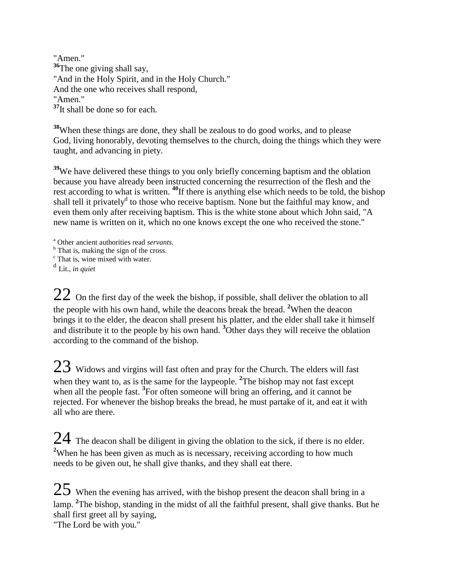"Amen." <sup>36</sup>The one giving shall say, "And in the Holy Spirit, and in the Holy Church." And the one who receives shall respond, "Amen." <sup>37</sup>It shall be done so for each.

**<sup>38</sup>**When these things are done, they shall be zealous to do good works, and to please God, living honorably, devoting themselves to the church, doing the things which they were taught, and advancing in piety.

<sup>39</sup>We have delivered these things to you only briefly concerning baptism and the oblation because you have already been instructed concerning the resurrection of the flesh and the rest according to what is written. **<sup>40</sup>**If there is anything else which needs to be told, the bishop shall tell it privately<sup>d</sup> to those who receive baptism. None but the faithful may know, and even them only after receiving baptism. This is the white stone about which John said, "A new name is written on it, which no one knows except the one who received the stone."

<sup>a</sup> Other ancient authorities read *servants.*

<sup>b</sup> That is, making the sign of the cross.

<sup>c</sup> That is, wine mixed with water.

d Lit., *in quiet*

 $22$  On the first day of the week the bishop, if possible, shall deliver the oblation to all the people with his own hand, while the deacons break the bread. **<sup>2</sup>**When the deacon brings it to the elder, the deacon shall present his platter, and the elder shall take it himself and distribute it to the people by his own hand. **<sup>3</sup>**Other days they will receive the oblation according to the command of the bishop.

 $23$  Widows and virgins will fast often and pray for the Church. The elders will fast when they want to, as is the same for the laypeople. <sup>2</sup>The bishop may not fast except when all the people fast. <sup>3</sup>For often someone will bring an offering, and it cannot be rejected. For whenever the bishop breaks the bread, he must partake of it, and eat it with all who are there.

 $24$  The deacon shall be diligent in giving the oblation to the sick, if there is no elder. <sup>2</sup>When he has been given as much as is necessary, receiving according to how much needs to be given out, he shall give thanks, and they shall eat there.

 $25$  When the evening has arrived, with the bishop present the deacon shall bring in a lamp. **<sup>2</sup>** The bishop, standing in the midst of all the faithful present, shall give thanks. But he shall first greet all by saying,

"The Lord be with you."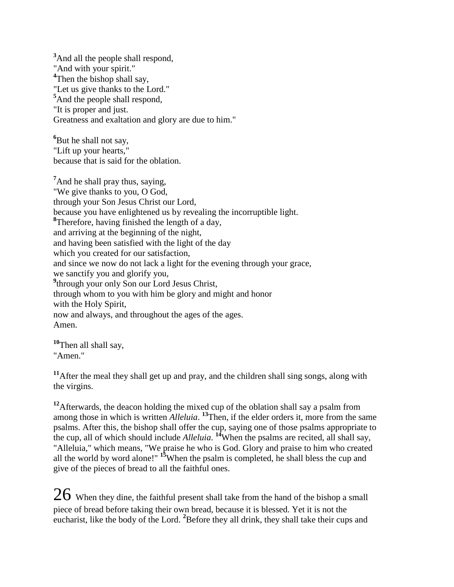<sup>3</sup>And all the people shall respond, "And with your spirit." <sup>4</sup>Then the bishop shall say, "Let us give thanks to the Lord." **<sup>5</sup>**And the people shall respond, "It is proper and just. Greatness and exaltation and glory are due to him."

<sup>6</sup>But he shall not say, "Lift up your hearts," because that is said for the oblation.

<sup>7</sup>And he shall pray thus, saying, "We give thanks to you, O God, through your Son Jesus Christ our Lord, because you have enlightened us by revealing the incorruptible light. **8** Therefore, having finished the length of a day, and arriving at the beginning of the night, and having been satisfied with the light of the day which you created for our satisfaction, and since we now do not lack a light for the evening through your grace, we sanctify you and glorify you, <sup>9</sup>through your only Son our Lord Jesus Christ, through whom to you with him be glory and might and honor with the Holy Spirit, now and always, and throughout the ages of the ages. Amen.

**<sup>10</sup>**Then all shall say, "Amen."

**<sup>11</sup>**After the meal they shall get up and pray, and the children shall sing songs, along with the virgins.

<sup>12</sup>Afterwards, the deacon holding the mixed cup of the oblation shall say a psalm from among those in which is written *Alleluia*. <sup>13</sup>Then, if the elder orders it, more from the same psalms. After this, the bishop shall offer the cup, saying one of those psalms appropriate to the cup, all of which should include *Alleluia*. **<sup>14</sup>**When the psalms are recited, all shall say, "Alleluia," which means, "We praise he who is God. Glory and praise to him who created all the world by word alone!" **<sup>15</sup>**When the psalm is completed, he shall bless the cup and give of the pieces of bread to all the faithful ones.

 $26\,$  When they dine, the faithful present shall take from the hand of the bishop a small piece of bread before taking their own bread, because it is blessed. Yet it is not the eucharist, like the body of the Lord. **<sup>2</sup>**Before they all drink, they shall take their cups and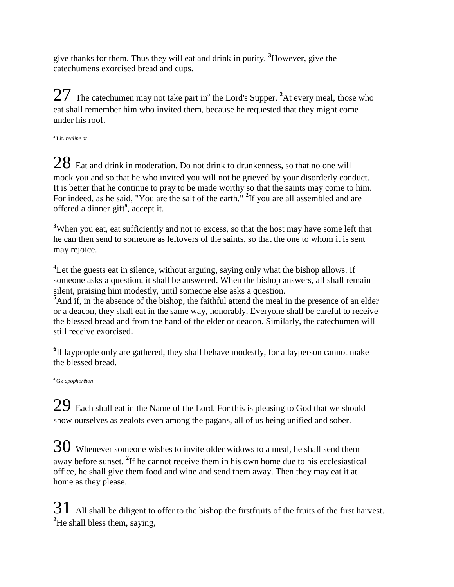give thanks for them. Thus they will eat and drink in purity. **<sup>3</sup>**However, give the catechumens exorcised bread and cups.

 $27$  The catechumen may not take part in<sup>a</sup> the Lord's Supper. <sup>2</sup>At every meal, those who eat shall remember him who invited them, because he requested that they might come under his roof.

a Lit. *recline at*

 $28$  Eat and drink in moderation. Do not drink to drunkenness, so that no one will mock you and so that he who invited you will not be grieved by your disorderly conduct. It is better that he continue to pray to be made worthy so that the saints may come to him. For indeed, as he said, "You are the salt of the earth." <sup>2</sup>If you are all assembled and are offered a dinner gift<sup>a</sup>, accept it.

<sup>3</sup>When you eat, eat sufficiently and not to excess, so that the host may have some left that he can then send to someone as leftovers of the saints, so that the one to whom it is sent may rejoice.

<sup>4</sup>Let the guests eat in silence, without arguing, saying only what the bishop allows. If someone asks a question, it shall be answered. When the bishop answers, all shall remain silent, praising him modestly, until someone else asks a question.

<sup>5</sup>And if, in the absence of the bishop, the faithful attend the meal in the presence of an elder or a deacon, they shall eat in the same way, honorably. Everyone shall be careful to receive the blessed bread and from the hand of the elder or deacon. Similarly, the catechumen will still receive exorcised.

<sup>6</sup>If laypeople only are gathered, they shall behave modestly, for a layperson cannot make the blessed bread.

<sup>a</sup> Gk *apophorêton*

 $29$  Each shall eat in the Name of the Lord. For this is pleasing to God that we should show ourselves as zealots even among the pagans, all of us being unified and sober.

 $30$  Whenever someone wishes to invite older widows to a meal, he shall send them away before sunset. **<sup>2</sup>** If he cannot receive them in his own home due to his ecclesiastical office, he shall give them food and wine and send them away. Then they may eat it at home as they please.

 $31\,$  All shall be diligent to offer to the bishop the firstfruits of the fruits of the first harvest. **<sup>2</sup>**He shall bless them, saying,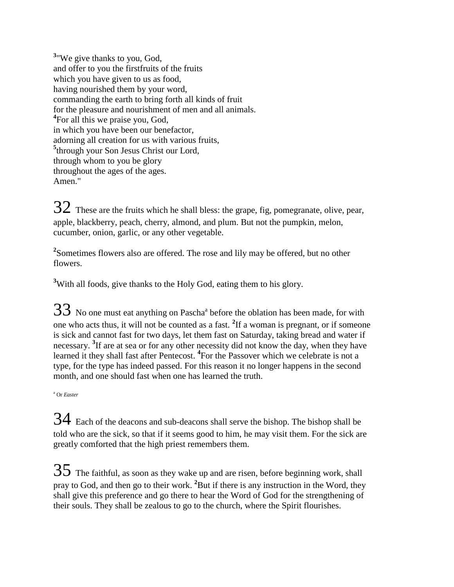**3** "We give thanks to you, God, and offer to you the firstfruits of the fruits which you have given to us as food, having nourished them by your word, commanding the earth to bring forth all kinds of fruit for the pleasure and nourishment of men and all animals. <sup>4</sup>For all this we praise you, God, in which you have been our benefactor, adorning all creation for us with various fruits, **5** through your Son Jesus Christ our Lord, through whom to you be glory throughout the ages of the ages. Amen."

 $32$  These are the fruits which he shall bless: the grape, fig, pomegranate, olive, pear, apple, blackberry, peach, cherry, almond, and plum. But not the pumpkin, melon, cucumber, onion, garlic, or any other vegetable.

**2** Sometimes flowers also are offered. The rose and lily may be offered, but no other flowers.

<sup>3</sup>With all foods, give thanks to the Holy God, eating them to his glory.

 $33\,$  No one must eat anything on Pascha<sup>a</sup> before the oblation has been made, for with one who acts thus, it will not be counted as a fast. **<sup>2</sup>** If a woman is pregnant, or if someone is sick and cannot fast for two days, let them fast on Saturday, taking bread and water if necessary. **<sup>3</sup>** If are at sea or for any other necessity did not know the day, when they have learned it they shall fast after Pentecost. **<sup>4</sup>** For the Passover which we celebrate is not a type, for the type has indeed passed. For this reason it no longer happens in the second month, and one should fast when one has learned the truth.

<sup>a</sup> Or *Easter*

34 Each of the deacons and sub-deacons shall serve the bishop. The bishop shall be told who are the sick, so that if it seems good to him, he may visit them. For the sick are greatly comforted that the high priest remembers them.

 $35$  The faithful, as soon as they wake up and are risen, before beginning work, shall pray to God, and then go to their work. **<sup>2</sup>**But if there is any instruction in the Word, they shall give this preference and go there to hear the Word of God for the strengthening of their souls. They shall be zealous to go to the church, where the Spirit flourishes.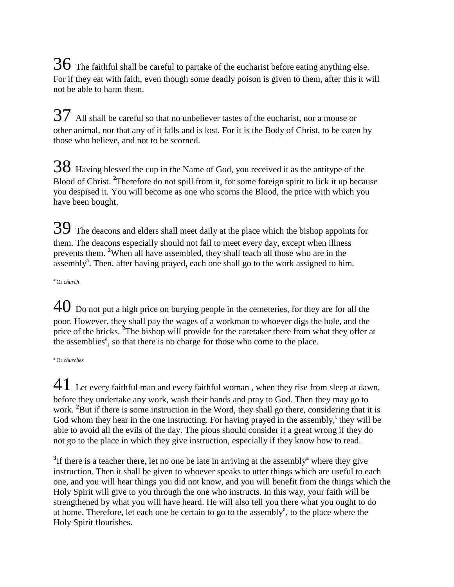$36$  The faithful shall be careful to partake of the eucharist before eating anything else. For if they eat with faith, even though some deadly poison is given to them, after this it will not be able to harm them.

 $37$  All shall be careful so that no unbeliever tastes of the eucharist, nor a mouse or other animal, nor that any of it falls and is lost. For it is the Body of Christ, to be eaten by those who believe, and not to be scorned.

38 Having blessed the cup in the Name of God, you received it as the antitype of the Blood of Christ. **<sup>2</sup>** Therefore do not spill from it, for some foreign spirit to lick it up because you despised it. You will become as one who scorns the Blood, the price with which you have been bought.

39 The deacons and elders shall meet daily at the place which the bishop appoints for them. The deacons especially should not fail to meet every day, except when illness prevents them. **<sup>2</sup>**When all have assembled, they shall teach all those who are in the assembly<sup>a</sup>. Then, after having prayed, each one shall go to the work assigned to him.

<sup>a</sup> Or *church*

 $40$  Do not put a high price on burying people in the cemeteries, for they are for all the poor. However, they shall pay the wages of a workman to whoever digs the hole, and the price of the bricks. <sup>2</sup>The bishop will provide for the caretaker there from what they offer at the assemblies<sup> $a$ </sup>, so that there is no charge for those who come to the place.

<sup>a</sup> Or *churches*

41 Let every faithful man and every faithful woman , when they rise from sleep at dawn, before they undertake any work, wash their hands and pray to God. Then they may go to work. <sup>2</sup>But if there is some instruction in the Word, they shall go there, considering that it is God whom they hear in the one instructing. For having prayed in the assembly,<sup>t</sup> they will be able to avoid all the evils of the day. The pious should consider it a great wrong if they do not go to the place in which they give instruction, especially if they know how to read.

 $3$ If there is a teacher there, let no one be late in arriving at the assembly<sup>a</sup> where they give instruction. Then it shall be given to whoever speaks to utter things which are useful to each one, and you will hear things you did not know, and you will benefit from the things which the Holy Spirit will give to you through the one who instructs. In this way, your faith will be strengthened by what you will have heard. He will also tell you there what you ought to do at home. Therefore, let each one be certain to go to the assembly<sup>a</sup>, to the place where the Holy Spirit flourishes.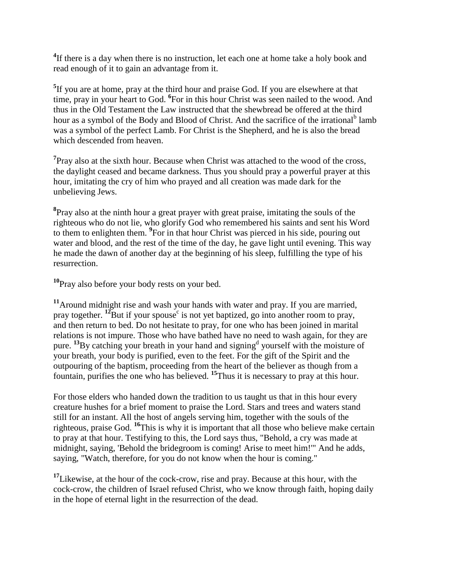<sup>4</sup>If there is a day when there is no instruction, let each one at home take a holy book and read enough of it to gain an advantage from it.

**5** If you are at home, pray at the third hour and praise God. If you are elsewhere at that time, pray in your heart to God. **<sup>6</sup>** For in this hour Christ was seen nailed to the wood. And thus in the Old Testament the Law instructed that the shewbread be offered at the third hour as a symbol of the Body and Blood of Christ. And the sacrifice of the irrational<sup>b</sup> lamb was a symbol of the perfect Lamb. For Christ is the Shepherd, and he is also the bread which descended from heaven.

<sup>7</sup>Pray also at the sixth hour. Because when Christ was attached to the wood of the cross, the daylight ceased and became darkness. Thus you should pray a powerful prayer at this hour, imitating the cry of him who prayed and all creation was made dark for the unbelieving Jews.

**8** Pray also at the ninth hour a great prayer with great praise, imitating the souls of the righteous who do not lie, who glorify God who remembered his saints and sent his Word to them to enlighten them. **<sup>9</sup>** For in that hour Christ was pierced in his side, pouring out water and blood, and the rest of the time of the day, he gave light until evening. This way he made the dawn of another day at the beginning of his sleep, fulfilling the type of his resurrection.

**<sup>10</sup>**Pray also before your body rests on your bed.

**<sup>11</sup>**Around midnight rise and wash your hands with water and pray. If you are married, pray together. <sup>12</sup>But if your spouse<sup>c</sup> is not yet baptized, go into another room to pray, and then return to bed. Do not hesitate to pray, for one who has been joined in marital relations is not impure. Those who have bathed have no need to wash again, for they are pure. <sup>13</sup>By catching your breath in your hand and signing<sup>d</sup> yourself with the moisture of your breath, your body is purified, even to the feet. For the gift of the Spirit and the outpouring of the baptism, proceeding from the heart of the believer as though from a fountain, purifies the one who has believed. **<sup>15</sup>**Thus it is necessary to pray at this hour.

For those elders who handed down the tradition to us taught us that in this hour every creature hushes for a brief moment to praise the Lord. Stars and trees and waters stand still for an instant. All the host of angels serving him, together with the souls of the righteous, praise God. **<sup>16</sup>**This is why it is important that all those who believe make certain to pray at that hour. Testifying to this, the Lord says thus, "Behold, a cry was made at midnight, saying, 'Behold the bridegroom is coming! Arise to meet him!'" And he adds, saying, "Watch, therefore, for you do not know when the hour is coming."

**<sup>17</sup>**Likewise, at the hour of the cock-crow, rise and pray. Because at this hour, with the cock-crow, the children of Israel refused Christ, who we know through faith, hoping daily in the hope of eternal light in the resurrection of the dead.